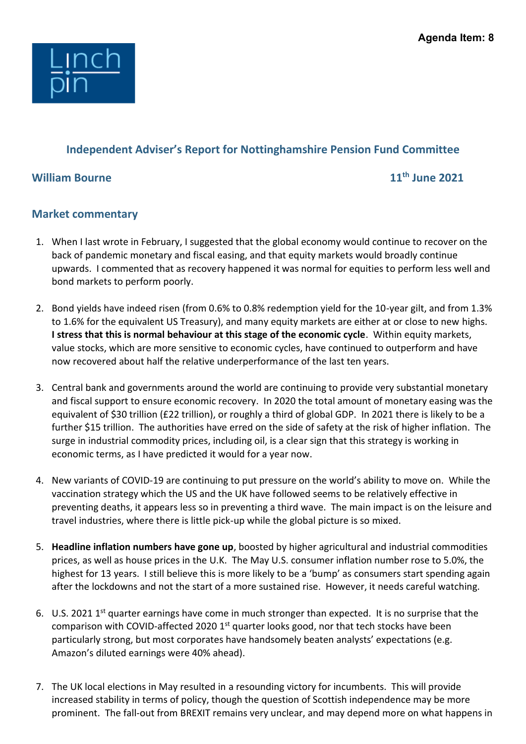

## **Independent Adviser's Report for Nottinghamshire Pension Fund Committee**

## **William Bourne 11th June 2021**

## **Market commentary**

- 1. When I last wrote in February, I suggested that the global economy would continue to recover on the back of pandemic monetary and fiscal easing, and that equity markets would broadly continue upwards. I commented that as recovery happened it was normal for equities to perform less well and bond markets to perform poorly.
- 2. Bond yields have indeed risen (from 0.6% to 0.8% redemption yield for the 10-year gilt, and from 1.3% to 1.6% for the equivalent US Treasury), and many equity markets are either at or close to new highs. **I stress that this is normal behaviour at this stage of the economic cycle**. Within equity markets, value stocks, which are more sensitive to economic cycles, have continued to outperform and have now recovered about half the relative underperformance of the last ten years.
- 3. Central bank and governments around the world are continuing to provide very substantial monetary and fiscal support to ensure economic recovery. In 2020 the total amount of monetary easing was the equivalent of \$30 trillion (£22 trillion), or roughly a third of global GDP. In 2021 there is likely to be a further \$15 trillion. The authorities have erred on the side of safety at the risk of higher inflation. The surge in industrial commodity prices, including oil, is a clear sign that this strategy is working in economic terms, as I have predicted it would for a year now.
- 4. New variants of COVID-19 are continuing to put pressure on the world's ability to move on. While the vaccination strategy which the US and the UK have followed seems to be relatively effective in preventing deaths, it appears less so in preventing a third wave. The main impact is on the leisure and travel industries, where there is little pick-up while the global picture is so mixed.
- 5. **Headline inflation numbers have gone up**, boosted by higher agricultural and industrial commodities prices, as well as house prices in the U.K. The May U.S. consumer inflation number rose to 5.0%, the highest for 13 years. I still believe this is more likely to be a 'bump' as consumers start spending again after the lockdowns and not the start of a more sustained rise. However, it needs careful watching.
- 6. U.S. 2021 1<sup>st</sup> quarter earnings have come in much stronger than expected. It is no surprise that the comparison with COVID-affected 2020 1<sup>st</sup> quarter looks good, nor that tech stocks have been particularly strong, but most corporates have handsomely beaten analysts' expectations (e.g. Amazon's diluted earnings were 40% ahead).
- 7. The UK local elections in May resulted in a resounding victory for incumbents. This will provide increased stability in terms of policy, though the question of Scottish independence may be more prominent. The fall-out from BREXIT remains very unclear, and may depend more on what happens in